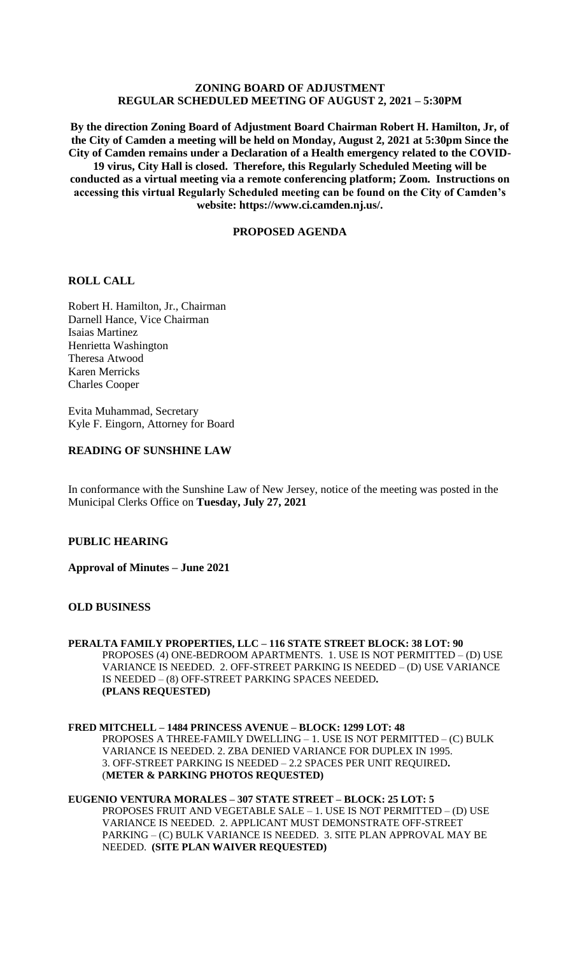# **ZONING BOARD OF ADJUSTMENT REGULAR SCHEDULED MEETING OF AUGUST 2, 2021 – 5:30PM**

**By the direction Zoning Board of Adjustment Board Chairman Robert H. Hamilton, Jr, of the City of Camden a meeting will be held on Monday, August 2, 2021 at 5:30pm Since the City of Camden remains under a Declaration of a Health emergency related to the COVID-19 virus, City Hall is closed. Therefore, this Regularly Scheduled Meeting will be conducted as a virtual meeting via a remote conferencing platform; Zoom. Instructions on accessing this virtual Regularly Scheduled meeting can be found on the City of Camden's website: https://www.ci.camden.nj.us/.**

# **PROPOSED AGENDA**

# **ROLL CALL**

Robert H. Hamilton, Jr., Chairman Darnell Hance, Vice Chairman Isaias Martinez Henrietta Washington Theresa Atwood Karen Merricks Charles Cooper

Evita Muhammad, Secretary Kyle F. Eingorn, Attorney for Board

# **READING OF SUNSHINE LAW**

In conformance with the Sunshine Law of New Jersey, notice of the meeting was posted in the Municipal Clerks Office on **Tuesday, July 27, 2021**

# **PUBLIC HEARING**

**Approval of Minutes – June 2021**

## **OLD BUSINESS**

## **PERALTA FAMILY PROPERTIES, LLC – 116 STATE STREET BLOCK: 38 LOT: 90** PROPOSES (4) ONE-BEDROOM APARTMENTS. 1. USE IS NOT PERMITTED – (D) USE VARIANCE IS NEEDED. 2. OFF-STREET PARKING IS NEEDED – (D) USE VARIANCE IS NEEDED – (8) OFF-STREET PARKING SPACES NEEDED**. (PLANS REQUESTED)**

## **FRED MITCHELL – 1484 PRINCESS AVENUE – BLOCK: 1299 LOT: 48** PROPOSES A THREE-FAMILY DWELLING – 1. USE IS NOT PERMITTED – (C) BULK VARIANCE IS NEEDED. 2. ZBA DENIED VARIANCE FOR DUPLEX IN 1995. 3. OFF-STREET PARKING IS NEEDED – 2.2 SPACES PER UNIT REQUIRED**.**  (**METER & PARKING PHOTOS REQUESTED)**

#### **EUGENIO VENTURA MORALES – 307 STATE STREET – BLOCK: 25 LOT: 5** PROPOSES FRUIT AND VEGETABLE SALE – 1. USE IS NOT PERMITTED – (D) USE VARIANCE IS NEEDED. 2. APPLICANT MUST DEMONSTRATE OFF-STREET PARKING – (C) BULK VARIANCE IS NEEDED. 3. SITE PLAN APPROVAL MAY BE NEEDED. **(SITE PLAN WAIVER REQUESTED)**